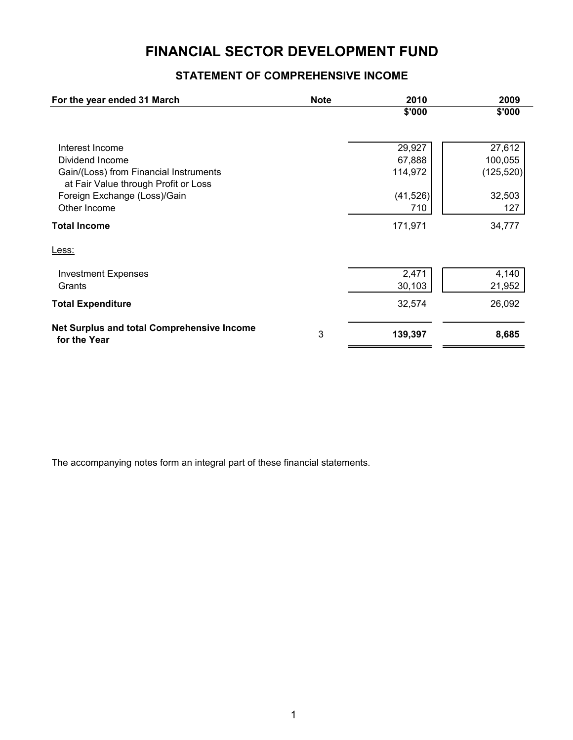# **FINANCIAL SECTOR DEVELOPMENT FUND**

# **STATEMENT OF COMPREHENSIVE INCOME**

| For the year ended 31 March                                                    | <b>Note</b> | 2010      | 2009       |
|--------------------------------------------------------------------------------|-------------|-----------|------------|
|                                                                                |             | \$'000    | \$'000     |
| Interest Income                                                                |             | 29,927    | 27,612     |
| Dividend Income                                                                |             | 67,888    | 100,055    |
| Gain/(Loss) from Financial Instruments<br>at Fair Value through Profit or Loss |             | 114,972   | (125, 520) |
| Foreign Exchange (Loss)/Gain                                                   |             | (41, 526) | 32,503     |
| Other Income                                                                   |             | 710       | 127        |
| <b>Total Income</b>                                                            |             | 171,971   | 34,777     |
| Less:                                                                          |             |           |            |
| <b>Investment Expenses</b>                                                     |             | 2,471     | 4,140      |
| Grants                                                                         |             | 30,103    | 21,952     |
| <b>Total Expenditure</b>                                                       |             | 32,574    | 26,092     |
| Net Surplus and total Comprehensive Income<br>for the Year                     | 3           | 139,397   | 8,685      |

The accompanying notes form an integral part of these financial statements.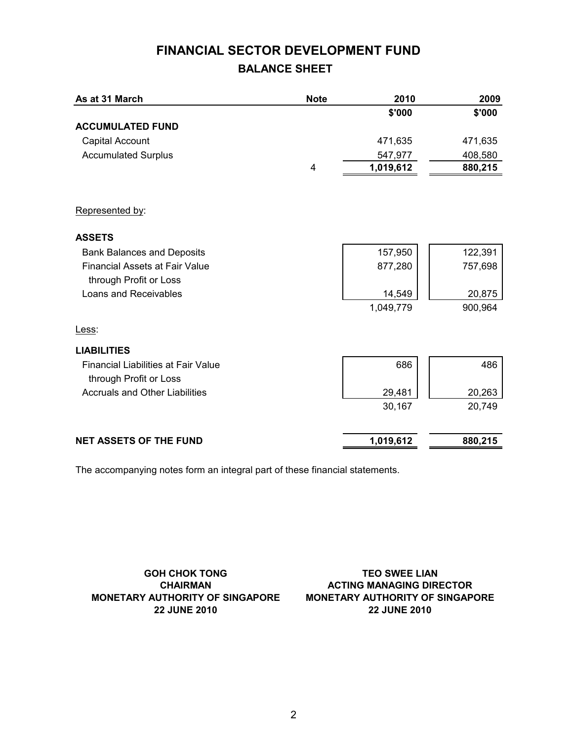# **BALANCE SHEET FINANCIAL SECTOR DEVELOPMENT FUND**

| As at 31 March                             | <b>Note</b> | 2010      | 2009    |
|--------------------------------------------|-------------|-----------|---------|
|                                            |             | \$'000    | \$'000  |
| <b>ACCUMULATED FUND</b>                    |             |           |         |
| Capital Account                            |             | 471,635   | 471,635 |
| <b>Accumulated Surplus</b>                 |             | 547,977   | 408,580 |
|                                            | 4           | 1,019,612 | 880,215 |
|                                            |             |           |         |
| Represented by:                            |             |           |         |
| <b>ASSETS</b>                              |             |           |         |
| <b>Bank Balances and Deposits</b>          |             | 157,950   | 122,391 |
| <b>Financial Assets at Fair Value</b>      |             | 877,280   | 757,698 |
| through Profit or Loss                     |             |           |         |
| Loans and Receivables                      |             | 14,549    | 20,875  |
|                                            |             | 1,049,779 | 900,964 |
| Less:                                      |             |           |         |
| <b>LIABILITIES</b>                         |             |           |         |
| <b>Financial Liabilities at Fair Value</b> |             | 686       | 486     |
| through Profit or Loss                     |             |           |         |
| <b>Accruals and Other Liabilities</b>      |             | 29,481    | 20,263  |
|                                            |             | 30,167    | 20,749  |
|                                            |             |           |         |
| <b>NET ASSETS OF THE FUND</b>              |             | 1,019,612 | 880,215 |

The accompanying notes form an integral part of these financial statements.

**GOH CHOK TONG CHAIRMAN MONETARY AUTHORITY OF SINGAPORE 22 JUNE 2010**

**22 JUNE 2010 MONETARY AUTHORITY OF SINGAPORE ACTING MANAGING DIRECTOR TEO SWEE LIAN**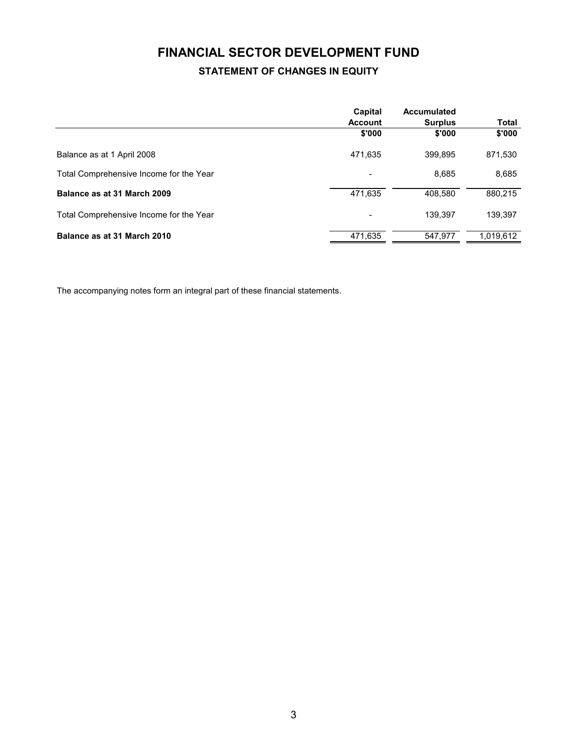# **FINANCIAL SECTOR DEVELOPMENT FUND STATEMENT OF CHANGES IN EQUITY**

|                                         | Capital<br><b>Account</b> | Accumulated<br><b>Surplus</b> | <b>Total</b> |
|-----------------------------------------|---------------------------|-------------------------------|--------------|
|                                         | \$'000                    | \$'000                        | \$'000       |
| Balance as at 1 April 2008              | 471.635                   | 399.895                       | 871,530      |
| Total Comprehensive Income for the Year | $\overline{\phantom{a}}$  | 8,685                         | 8,685        |
| Balance as at 31 March 2009             | 471,635                   | 408.580                       | 880,215      |
| Total Comprehensive Income for the Year | $\overline{\phantom{a}}$  | 139.397                       | 139,397      |
| Balance as at 31 March 2010             | 471,635                   | 547.977                       | 1,019,612    |

The accompanying notes form an integral part of these financial statements.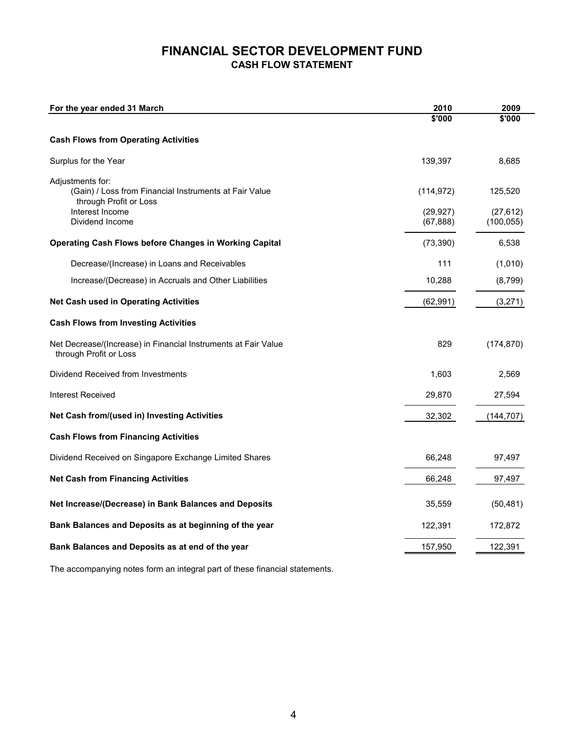# **FINANCIAL SECTOR DEVELOPMENT FUND CASH FLOW STATEMENT**

| For the year ended 31 March                                                                                                                | 2010                                 | 2009                               |
|--------------------------------------------------------------------------------------------------------------------------------------------|--------------------------------------|------------------------------------|
|                                                                                                                                            | \$'000                               | \$'000                             |
| <b>Cash Flows from Operating Activities</b>                                                                                                |                                      |                                    |
| Surplus for the Year                                                                                                                       | 139,397                              | 8,685                              |
| Adjustments for:<br>(Gain) / Loss from Financial Instruments at Fair Value<br>through Profit or Loss<br>Interest Income<br>Dividend Income | (114, 972)<br>(29, 927)<br>(67, 888) | 125,520<br>(27, 612)<br>(100, 055) |
| <b>Operating Cash Flows before Changes in Working Capital</b>                                                                              | (73, 390)                            | 6,538                              |
| Decrease/(Increase) in Loans and Receivables                                                                                               | 111                                  | (1,010)                            |
| Increase/(Decrease) in Accruals and Other Liabilities                                                                                      | 10,288                               | (8,799)                            |
| <b>Net Cash used in Operating Activities</b>                                                                                               | (62, 991)                            | (3,271)                            |
| <b>Cash Flows from Investing Activities</b>                                                                                                |                                      |                                    |
| Net Decrease/(Increase) in Financial Instruments at Fair Value<br>through Profit or Loss                                                   | 829                                  | (174, 870)                         |
| Dividend Received from Investments                                                                                                         | 1,603                                | 2,569                              |
| <b>Interest Received</b>                                                                                                                   | 29,870                               | 27,594                             |
| Net Cash from/(used in) Investing Activities                                                                                               | 32,302                               | (144, 707)                         |
| <b>Cash Flows from Financing Activities</b>                                                                                                |                                      |                                    |
| Dividend Received on Singapore Exchange Limited Shares                                                                                     | 66,248                               | 97,497                             |
| <b>Net Cash from Financing Activities</b>                                                                                                  | 66,248                               | 97,497                             |
| Net Increase/(Decrease) in Bank Balances and Deposits                                                                                      | 35,559                               | (50, 481)                          |
| Bank Balances and Deposits as at beginning of the year                                                                                     | 122,391                              | 172,872                            |
| Bank Balances and Deposits as at end of the year                                                                                           | 157,950                              | 122,391                            |

The accompanying notes form an integral part of these financial statements.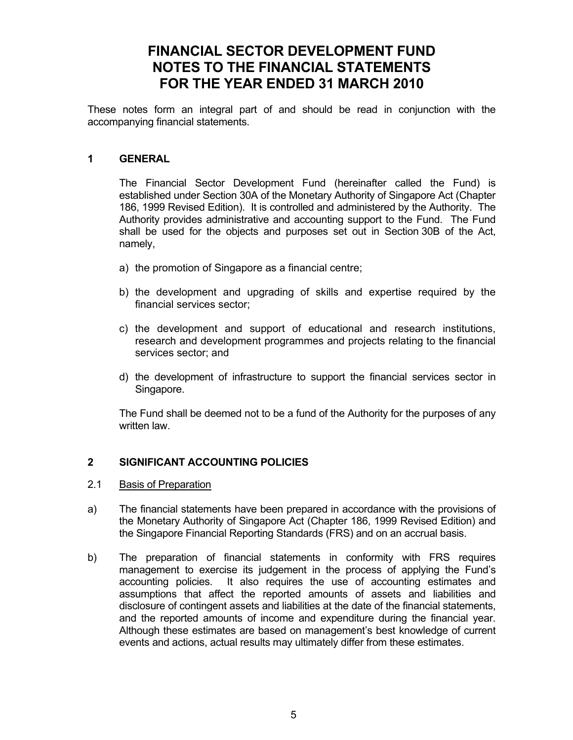# **FINANCIAL SECTOR DEVELOPMENT FUND NOTES TO THE FINANCIAL STATEMENTS FOR THE YEAR ENDED 31 MARCH 2010**

These notes form an integral part of and should be read in conjunction with the accompanying financial statements.

### **1 GENERAL**

 The Financial Sector Development Fund (hereinafter called the Fund) is established under Section 30A of the Monetary Authority of Singapore Act (Chapter 186, 1999 Revised Edition). It is controlled and administered by the Authority. The Authority provides administrative and accounting support to the Fund. The Fund shall be used for the objects and purposes set out in Section 30B of the Act, namely,

- a) the promotion of Singapore as a financial centre;
- b) the development and upgrading of skills and expertise required by the financial services sector;
- c) the development and support of educational and research institutions, research and development programmes and projects relating to the financial services sector; and
- d) the development of infrastructure to support the financial services sector in Singapore.

The Fund shall be deemed not to be a fund of the Authority for the purposes of any written law.

### **2 SIGNIFICANT ACCOUNTING POLICIES**

### 2.1 Basis of Preparation

- a) The financial statements have been prepared in accordance with the provisions of the Monetary Authority of Singapore Act (Chapter 186, 1999 Revised Edition) and the Singapore Financial Reporting Standards (FRS) and on an accrual basis.
- b) The preparation of financial statements in conformity with FRS requires management to exercise its judgement in the process of applying the Fund's accounting policies. It also requires the use of accounting estimates and assumptions that affect the reported amounts of assets and liabilities and disclosure of contingent assets and liabilities at the date of the financial statements, and the reported amounts of income and expenditure during the financial year. Although these estimates are based on management's best knowledge of current events and actions, actual results may ultimately differ from these estimates.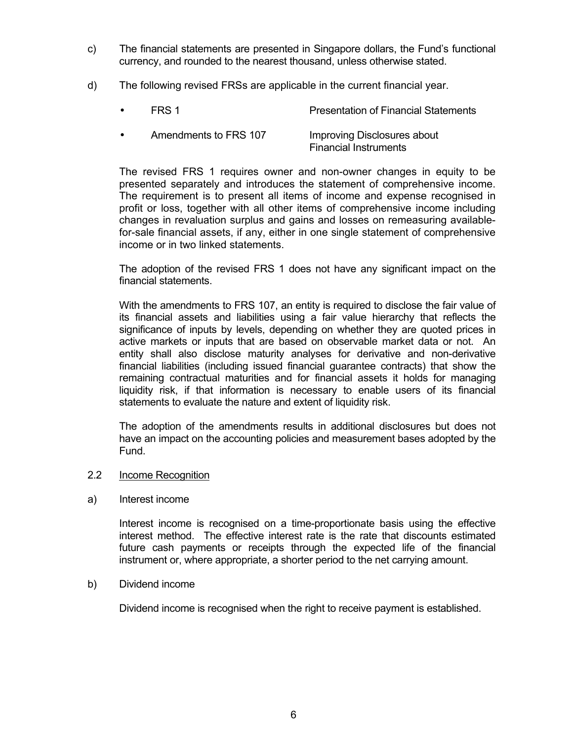- c) The financial statements are presented in Singapore dollars, the Fund's functional currency, and rounded to the nearest thousand, unless otherwise stated.
- d) The following revised FRSs are applicable in the current financial year.
	- **FRS 1** Presentation of Financial Statements Amendments to FRS 107 Improving Disclosures about

 The revised FRS 1 requires owner and non-owner changes in equity to be presented separately and introduces the statement of comprehensive income. The requirement is to present all items of income and expense recognised in profit or loss, together with all other items of comprehensive income including changes in revaluation surplus and gains and losses on remeasuring availablefor-sale financial assets, if any, either in one single statement of comprehensive income or in two linked statements.

Financial Instruments

 The adoption of the revised FRS 1 does not have any significant impact on the financial statements.

 With the amendments to FRS 107, an entity is required to disclose the fair value of its financial assets and liabilities using a fair value hierarchy that reflects the significance of inputs by levels, depending on whether they are quoted prices in active markets or inputs that are based on observable market data or not. An entity shall also disclose maturity analyses for derivative and non-derivative financial liabilities (including issued financial guarantee contracts) that show the remaining contractual maturities and for financial assets it holds for managing liquidity risk, if that information is necessary to enable users of its financial statements to evaluate the nature and extent of liquidity risk.

 The adoption of the amendments results in additional disclosures but does not have an impact on the accounting policies and measurement bases adopted by the Fund.

### 2.2 Income Recognition

#### a) Interest income

 Interest income is recognised on a time-proportionate basis using the effective interest method. The effective interest rate is the rate that discounts estimated future cash payments or receipts through the expected life of the financial instrument or, where appropriate, a shorter period to the net carrying amount.

#### b) Dividend income

Dividend income is recognised when the right to receive payment is established.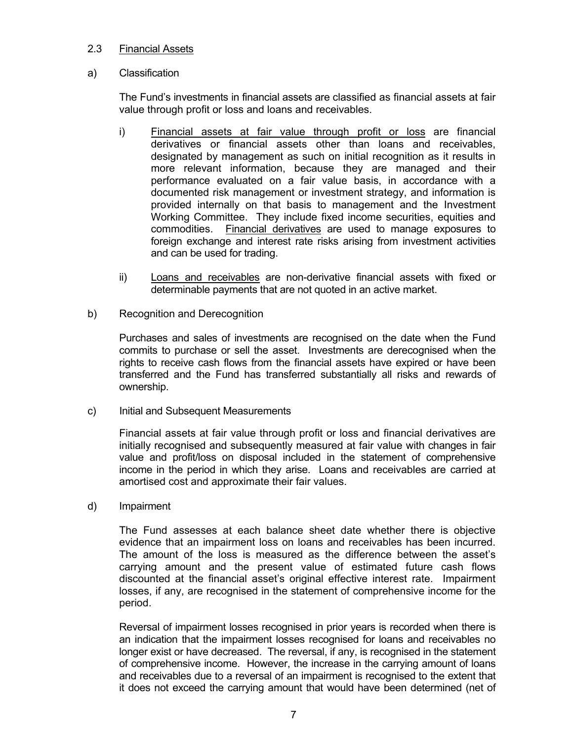#### 2.3 Financial Assets

#### a) Classification

The Fund's investments in financial assets are classified as financial assets at fair value through profit or loss and loans and receivables.

- i) Financial assets at fair value through profit or loss are financial derivatives or financial assets other than loans and receivables, designated by management as such on initial recognition as it results in more relevant information, because they are managed and their performance evaluated on a fair value basis, in accordance with a documented risk management or investment strategy, and information is provided internally on that basis to management and the Investment Working Committee. They include fixed income securities, equities and commodities. Financial derivatives are used to manage exposures to foreign exchange and interest rate risks arising from investment activities and can be used for trading.
- ii) Loans and receivables are non-derivative financial assets with fixed or determinable payments that are not quoted in an active market.
- b) Recognition and Derecognition

Purchases and sales of investments are recognised on the date when the Fund commits to purchase or sell the asset. Investments are derecognised when the rights to receive cash flows from the financial assets have expired or have been transferred and the Fund has transferred substantially all risks and rewards of ownership.

c) Initial and Subsequent Measurements

Financial assets at fair value through profit or loss and financial derivatives are initially recognised and subsequently measured at fair value with changes in fair value and profit/loss on disposal included in the statement of comprehensive income in the period in which they arise. Loans and receivables are carried at amortised cost and approximate their fair values.

d) Impairment

The Fund assesses at each balance sheet date whether there is objective evidence that an impairment loss on loans and receivables has been incurred. The amount of the loss is measured as the difference between the asset's carrying amount and the present value of estimated future cash flows discounted at the financial asset's original effective interest rate. Impairment losses, if any, are recognised in the statement of comprehensive income for the period.

 Reversal of impairment losses recognised in prior years is recorded when there is an indication that the impairment losses recognised for loans and receivables no longer exist or have decreased. The reversal, if any, is recognised in the statement of comprehensive income. However, the increase in the carrying amount of loans and receivables due to a reversal of an impairment is recognised to the extent that it does not exceed the carrying amount that would have been determined (net of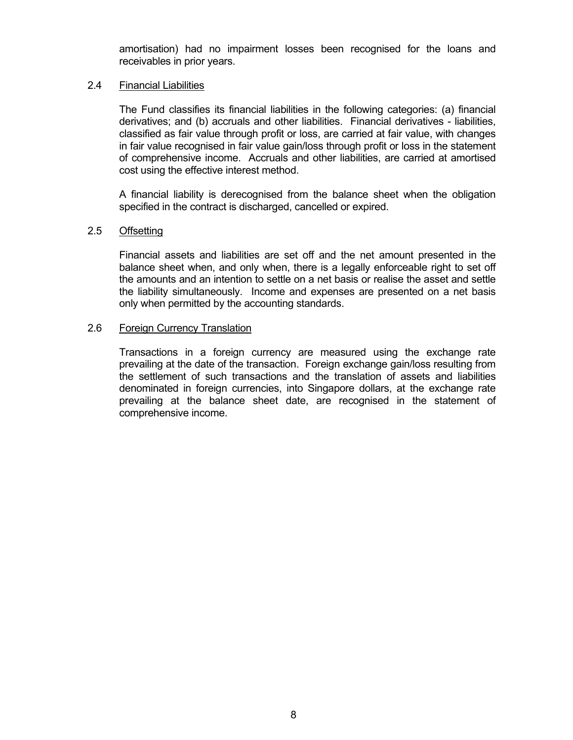amortisation) had no impairment losses been recognised for the loans and receivables in prior years.

#### 2.4 Financial Liabilities

The Fund classifies its financial liabilities in the following categories: (a) financial derivatives; and (b) accruals and other liabilities. Financial derivatives - liabilities, classified as fair value through profit or loss, are carried at fair value, with changes in fair value recognised in fair value gain/loss through profit or loss in the statement of comprehensive income. Accruals and other liabilities, are carried at amortised cost using the effective interest method.

A financial liability is derecognised from the balance sheet when the obligation specified in the contract is discharged, cancelled or expired.

#### 2.5 Offsetting

Financial assets and liabilities are set off and the net amount presented in the balance sheet when, and only when, there is a legally enforceable right to set off the amounts and an intention to settle on a net basis or realise the asset and settle the liability simultaneously. Income and expenses are presented on a net basis only when permitted by the accounting standards.

#### 2.6 Foreign Currency Translation

Transactions in a foreign currency are measured using the exchange rate prevailing at the date of the transaction. Foreign exchange gain/loss resulting from the settlement of such transactions and the translation of assets and liabilities denominated in foreign currencies, into Singapore dollars, at the exchange rate prevailing at the balance sheet date, are recognised in the statement of comprehensive income.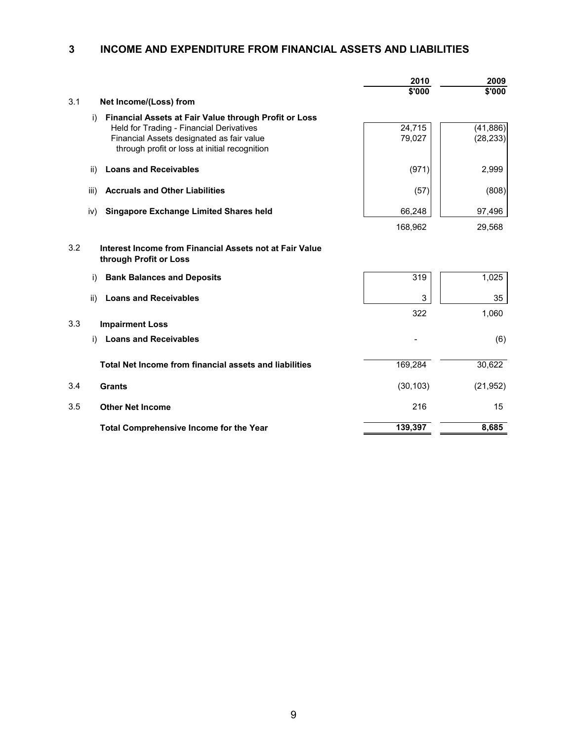## **3 INCOME AND EXPENDITURE FROM FINANCIAL ASSETS AND LIABILITIES**

|     |                                                                                                                | 2010<br>\$'000 | 2009<br>\$'000 |
|-----|----------------------------------------------------------------------------------------------------------------|----------------|----------------|
| 3.1 | Net Income/(Loss) from                                                                                         |                |                |
|     |                                                                                                                |                |                |
|     | i)<br><b>Financial Assets at Fair Value through Profit or Loss</b><br>Held for Trading - Financial Derivatives | 24,715         | (41, 886)      |
|     | Financial Assets designated as fair value                                                                      | 79,027         | (28, 233)      |
|     | through profit or loss at initial recognition                                                                  |                |                |
|     | <b>Loans and Receivables</b><br>ii)                                                                            | (971)          | 2,999          |
|     | <b>Accruals and Other Liabilities</b><br>iii)                                                                  | (57)           | (808)          |
|     | <b>Singapore Exchange Limited Shares held</b><br>iv)                                                           | 66,248         | 97,496         |
|     |                                                                                                                | 168,962        | 29,568         |
| 3.2 | Interest Income from Financial Assets not at Fair Value<br>through Profit or Loss                              |                |                |
|     | <b>Bank Balances and Deposits</b><br>i)                                                                        | 319            | 1,025          |
|     | <b>Loans and Receivables</b><br>ii)                                                                            | 3              | 35             |
|     |                                                                                                                | 322            | 1,060          |
| 3.3 | <b>Impairment Loss</b>                                                                                         |                |                |
|     | <b>Loans and Receivables</b><br>i)                                                                             |                | (6)            |
|     | Total Net Income from financial assets and liabilities                                                         | 169,284        | 30,622         |
|     |                                                                                                                |                |                |
| 3.4 | <b>Grants</b>                                                                                                  | (30, 103)      | (21, 952)      |
| 3.5 | <b>Other Net Income</b>                                                                                        | 216            | 15             |
|     | <b>Total Comprehensive Income for the Year</b>                                                                 | 139,397        | 8,685          |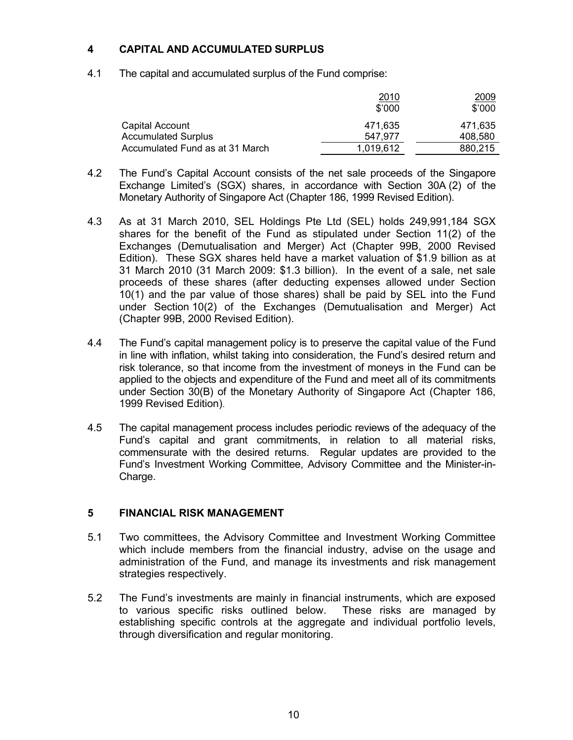### **4 CAPITAL AND ACCUMULATED SURPLUS**

4.1 The capital and accumulated surplus of the Fund comprise:

|                                 | <u>2010</u><br>\$'000 | 2009<br>\$'000 |
|---------------------------------|-----------------------|----------------|
| Capital Account                 | 471.635               | 471.635        |
| <b>Accumulated Surplus</b>      | 547.977               | 408,580        |
| Accumulated Fund as at 31 March | 1,019,612             | 880.215        |

- 4.2 The Fund's Capital Account consists of the net sale proceeds of the Singapore Exchange Limited's (SGX) shares, in accordance with Section 30A (2) of the Monetary Authority of Singapore Act (Chapter 186, 1999 Revised Edition).
- 4.3 As at 31 March 2010, SEL Holdings Pte Ltd (SEL) holds 249,991,184 SGX shares for the benefit of the Fund as stipulated under Section 11(2) of the Exchanges (Demutualisation and Merger) Act (Chapter 99B, 2000 Revised Edition). These SGX shares held have a market valuation of \$1.9 billion as at 31 March 2010 (31 March 2009: \$1.3 billion). In the event of a sale, net sale proceeds of these shares (after deducting expenses allowed under Section 10(1) and the par value of those shares) shall be paid by SEL into the Fund under Section 10(2) of the Exchanges (Demutualisation and Merger) Act (Chapter 99B, 2000 Revised Edition).
- 4.4 The Fund's capital management policy is to preserve the capital value of the Fund in line with inflation, whilst taking into consideration, the Fund's desired return and risk tolerance, so that income from the investment of moneys in the Fund can be applied to the objects and expenditure of the Fund and meet all of its commitments under Section 30(B) of the Monetary Authority of Singapore Act (Chapter 186, 1999 Revised Edition).
- 4.5 The capital management process includes periodic reviews of the adequacy of the Fund's capital and grant commitments, in relation to all material risks, commensurate with the desired returns. Regular updates are provided to the Fund's Investment Working Committee, Advisory Committee and the Minister-in-Charge.

### **5 FINANCIAL RISK MANAGEMENT**

- 5.1 Two committees, the Advisory Committee and Investment Working Committee which include members from the financial industry, advise on the usage and administration of the Fund, and manage its investments and risk management strategies respectively.
- 5.2 The Fund's investments are mainly in financial instruments, which are exposed to various specific risks outlined below. These risks are managed by establishing specific controls at the aggregate and individual portfolio levels, through diversification and regular monitoring.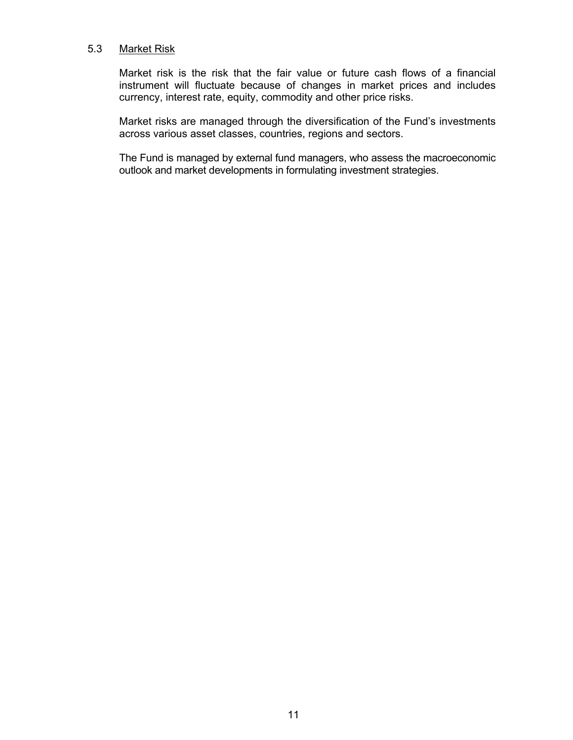### 5.3 Market Risk

 Market risk is the risk that the fair value or future cash flows of a financial instrument will fluctuate because of changes in market prices and includes currency, interest rate, equity, commodity and other price risks.

Market risks are managed through the diversification of the Fund's investments across various asset classes, countries, regions and sectors.

The Fund is managed by external fund managers, who assess the macroeconomic outlook and market developments in formulating investment strategies.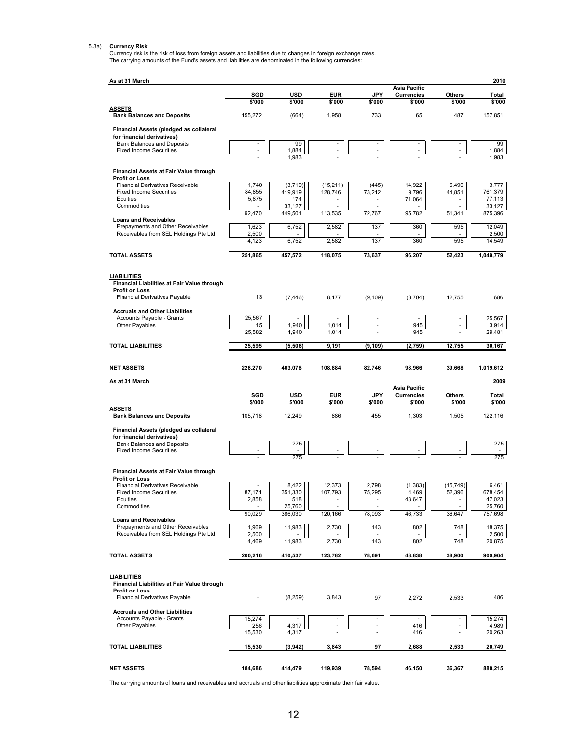5.3a) Currency Risk<br>Currency risk is the risk of loss from foreign assets and liabilities due to changes in foreign exchange rates.<br>The carrying amounts of the Fund's assets and liabilities are denominated in the following

| As at 31 March                                                             |                 |                   |                          |                          |                                          |                          | 2010              |
|----------------------------------------------------------------------------|-----------------|-------------------|--------------------------|--------------------------|------------------------------------------|--------------------------|-------------------|
|                                                                            | SGD             | <b>USD</b>        | <b>EUR</b>               | <b>JPY</b>               | <b>Asia Pacific</b><br><b>Currencies</b> | Others                   | Total             |
| <u>ASSETS</u>                                                              | \$'000          | \$'000            | \$'000                   | \$'000                   | \$'000                                   | \$'000                   | \$'000            |
| <b>Bank Balances and Deposits</b>                                          | 155,272         | (664)             | 1,958                    | 733                      | 65                                       | 487                      | 157,851           |
| Financial Assets (pledged as collateral                                    |                 |                   |                          |                          |                                          |                          |                   |
| for financial derivatives)<br><b>Bank Balances and Deposits</b>            |                 | 99                |                          |                          |                                          |                          | 99                |
| <b>Fixed Income Securities</b>                                             |                 | 1,884<br>1,983    |                          |                          |                                          |                          | 1,884<br>1,983    |
| Financial Assets at Fair Value through                                     |                 |                   |                          |                          |                                          |                          |                   |
| <b>Profit or Loss</b>                                                      |                 |                   |                          |                          |                                          |                          |                   |
| <b>Financial Derivatives Receivable</b><br><b>Fixed Income Securities</b>  | 1,740<br>84,855 | (3,719)           | (15, 211)                | (445)                    | 14,922                                   | 6,490                    | 3,777             |
| Equities                                                                   | 5,875           | 419,919<br>174    | 128,746                  | 73,212                   | 9,796<br>71,064                          | 44,851                   | 761,379<br>77,113 |
| Commodities                                                                | 92,470          | 33,127<br>449,501 | 113,535                  | 72,767                   | 95,782                                   | 51,341                   | 33,127            |
| <b>Loans and Receivables</b>                                               |                 |                   |                          |                          |                                          |                          | 875,396           |
| Prepayments and Other Receivables<br>Receivables from SEL Holdings Pte Ltd | 1,623<br>2,500  | 6,752             | 2,582                    | 137                      | 360                                      | 595                      | 12,049<br>2,500   |
|                                                                            | 4,123           | 6,752             | 2,582                    | 137                      | 360                                      | 595                      | 14,549            |
| <b>TOTAL ASSETS</b>                                                        | 251,865         | 457,572           | 118,075                  | 73,637                   | 96,207                                   | 52,423                   | 1,049,779         |
|                                                                            |                 |                   |                          |                          |                                          |                          |                   |
| <b>LIABILITIES</b>                                                         |                 |                   |                          |                          |                                          |                          |                   |
| Financial Liabilities at Fair Value through<br><b>Profit or Loss</b>       |                 |                   |                          |                          |                                          |                          |                   |
| <b>Financial Derivatives Payable</b>                                       | 13              | (7, 446)          | 8,177                    | (9, 109)                 | (3,704)                                  | 12,755                   | 686               |
| <b>Accruals and Other Liabilities</b>                                      |                 |                   |                          |                          |                                          |                          |                   |
| Accounts Payable - Grants                                                  | 25,567          |                   |                          |                          | 945                                      |                          | 25,567            |
| Other Payables                                                             | 15<br>25,582    | 1,940<br>1,940    | 1,014<br>1,014           |                          | 945                                      |                          | 3,914<br>29,481   |
| <b>TOTAL LIABILITIES</b>                                                   | 25,595          | (5,506)           | 9,191                    | (9, 109)                 | (2,759)                                  | 12,755                   | 30,167            |
|                                                                            |                 |                   |                          |                          |                                          |                          |                   |
| <b>NET ASSETS</b>                                                          | 226,270         | 463,078           | 108,884                  | 82,746                   | 98,966                                   | 39,668                   | 1,019,612         |
| As at 31 March                                                             |                 |                   |                          |                          |                                          |                          | 2009              |
|                                                                            | SGD             | <b>USD</b>        | <b>EUR</b>               | JPY                      | <b>Asia Pacific</b><br><b>Currencies</b> | Others                   | Total             |
|                                                                            | \$'000          | \$'000            | \$'000                   | \$'000                   | \$'000                                   | \$'000                   | \$'000            |
| <u>ASSETS</u><br><b>Bank Balances and Deposits</b>                         | 105,718         | 12,249            | 886                      | 455                      | 1,303                                    | 1,505                    | 122,116           |
| Financial Assets (pledged as collateral                                    |                 |                   |                          |                          |                                          |                          |                   |
| for financial derivatives)                                                 |                 |                   |                          |                          |                                          |                          |                   |
| <b>Bank Balances and Deposits</b><br><b>Fixed Income Securities</b>        |                 | 275               |                          | İ                        | ۰                                        | $\overline{\phantom{a}}$ | 275               |
|                                                                            |                 | 275               |                          |                          |                                          |                          | 275               |
| Financial Assets at Fair Value through                                     |                 |                   |                          |                          |                                          |                          |                   |
| <b>Profit or Loss</b>                                                      |                 |                   |                          |                          |                                          |                          |                   |
| <b>Financial Derivatives Receivable</b><br><b>Fixed Income Securities</b>  | 87,171          | 8,422<br>351,330  | 12,373<br>107,793        | 2,798<br>75,295          | (1, 383)<br>4,469                        | (15, 749)<br>52,396      | 6,461<br>678,454  |
| Equities                                                                   | 2,858           | 518               | $\overline{\phantom{a}}$ | $\overline{\phantom{a}}$ | 43,647                                   | $\overline{\phantom{a}}$ | 47,023            |
| Commodities                                                                | 90,029          | 25,760<br>386,030 | 120,166                  | 78,093                   | 46,733                                   | 36,647                   | 25,760<br>757,698 |
| <b>Loans and Receivables</b><br>Prepayments and Other Receivables          | 1,969           |                   |                          |                          |                                          |                          |                   |
| Receivables from SEL Holdings Pte Ltd                                      | 2,500           | 11,983            | 2,730                    | 143                      | 802                                      | 748                      | 18,375<br>2,500   |
|                                                                            | 4,469           | 11,983            | 2,730                    | 143                      | 802                                      | 748                      | 20,875            |
| <b>TOTAL ASSETS</b>                                                        | 200,216         | 410,537           | 123,782                  | 78,691                   | 48,838                                   | 38,900                   | 900,964           |
|                                                                            |                 |                   |                          |                          |                                          |                          |                   |
| <b>LIABILITIES</b><br>Financial Liabilities at Fair Value through          |                 |                   |                          |                          |                                          |                          |                   |
| <b>Profit or Loss</b>                                                      |                 |                   |                          |                          |                                          |                          |                   |
| <b>Financial Derivatives Payable</b>                                       |                 | (8, 259)          | 3,843                    | 97                       | 2,272                                    | 2,533                    | 486               |
| <b>Accruals and Other Liabilities</b>                                      |                 |                   |                          |                          |                                          |                          |                   |
| Accounts Payable - Grants<br>Other Payables                                | 15,274<br>256   | 4,317             |                          |                          | 416                                      |                          | 15,274<br>4,989   |
|                                                                            | 15,530          | 4,317             |                          |                          | 416                                      |                          | 20,263            |
| <b>TOTAL LIABILITIES</b>                                                   | 15,530          | (3, 942)          | 3,843                    | 97                       | 2,688                                    | 2,533                    | 20,749            |
|                                                                            |                 |                   |                          |                          |                                          |                          |                   |
|                                                                            | 184,686         | 414,479           | 119,939                  | 78,594                   | 46,150                                   | 36,367                   | 880,215           |

The carrying amounts of loans and receivables and accruals and other liabilities approximate their fair value.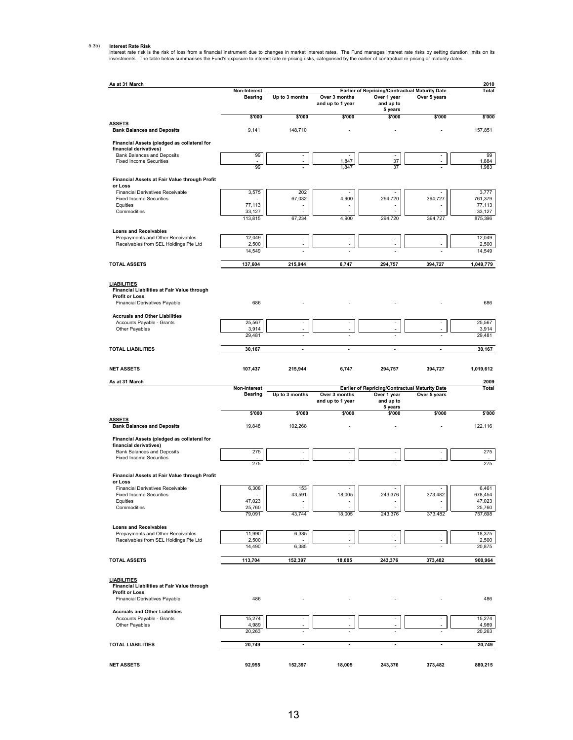#### 5.3b) **Interest Rate Risk**

Interest rate risk is the risk of loss from a financial instrument due to changes in market interest rates. The Fund manages interest rate risks by setting duration limits on its<br>investments. The table below summarises the

| As at 31 March                                                             |                  |                                |                                   |                                                |                | 2010              |
|----------------------------------------------------------------------------|------------------|--------------------------------|-----------------------------------|------------------------------------------------|----------------|-------------------|
|                                                                            | Non-Interest     |                                |                                   | Earlier of Repricing/Contractual Maturity Date |                | Total             |
|                                                                            | <b>Bearing</b>   | Up to 3 months                 | Over 3 months<br>and up to 1 year | Over 1 year<br>and up to                       | Over 5 years   |                   |
|                                                                            | \$'000           | \$'000                         | \$'000                            | 5 years<br>\$'000                              | \$'000         | \$000             |
| <b>ASSETS</b><br><b>Bank Balances and Deposits</b>                         | 9,141            | 148,710                        |                                   |                                                |                | 157,851           |
| Financial Assets (pledged as collateral for                                |                  |                                |                                   |                                                |                |                   |
| financial derivatives)<br>Bank Balances and Deposits                       | 99               |                                | $\overline{\phantom{a}}$          |                                                |                | 99                |
| <b>Fixed Income Securities</b>                                             | 99               |                                | 1,847<br>1,847                    | 37<br>37                                       |                | 1,884<br>1,983    |
| Financial Assets at Fair Value through Profit                              |                  |                                |                                   |                                                |                |                   |
| or Loss                                                                    |                  |                                |                                   |                                                |                |                   |
| Financial Derivatives Receivable<br><b>Fixed Income Securities</b>         | 3,575            | 202<br>67.032                  | 4,900                             | 294,720                                        | 394,727        | 3,777<br>761,379  |
| Equities<br>Commodities                                                    | 77,113<br>33.127 |                                |                                   |                                                |                | 77,113<br>33,127  |
|                                                                            | 113,815          | 67,234                         | 4,900                             | 294,720                                        | 394,727        | 875,396           |
| <b>Loans and Receivables</b>                                               |                  |                                |                                   |                                                |                |                   |
| Prepayments and Other Receivables<br>Receivables from SEL Holdings Pte Ltd | 12,049<br>2,500  | $\overline{\phantom{a}}$<br>÷, | $\overline{\phantom{a}}$          |                                                |                | 12,049<br>2,500   |
|                                                                            | 14,549           |                                |                                   |                                                |                | 14,549            |
| <b>TOTAL ASSETS</b>                                                        | 137,604          | 215,944                        | 6,747                             | 294,757                                        | 394,727        | 1,049,779         |
|                                                                            |                  |                                |                                   |                                                |                |                   |
| <b>LIABILITIES</b><br>Financial Liabilities at Fair Value through          |                  |                                |                                   |                                                |                |                   |
| <b>Profit or Loss</b><br>Financial Derivatives Payable                     | 686              |                                |                                   |                                                |                | 686               |
|                                                                            |                  |                                |                                   |                                                |                |                   |
| <b>Accruals and Other Liabilities</b><br>Accounts Payable - Grants         | 25,567           |                                |                                   |                                                |                | 25,567            |
| Other Payables                                                             | 3,914<br>29,481  |                                |                                   |                                                |                | 3,914<br>29,481   |
|                                                                            |                  |                                |                                   |                                                |                |                   |
| <b>TOTAL LIABILITIES</b>                                                   | 30,167           | $\blacksquare$                 | $\blacksquare$                    | $\overline{a}$                                 | ÷,             | 30,167            |
| <b>NET ASSETS</b>                                                          | 107,437          | 215,944                        | 6,747                             | 294,757                                        | 394,727        | 1,019,612         |
| As at 31 March                                                             |                  |                                |                                   |                                                |                | 2009              |
|                                                                            | Non-Interest     |                                |                                   | Earlier of Repricing/Contractual Maturity Date |                | <b>Total</b>      |
|                                                                            | <b>Bearing</b>   | Up to 3 months                 | Over 3 months<br>and up to 1 year | Over 1 year<br>and up to                       | Over 5 years   |                   |
|                                                                            | \$'000           | \$'000                         | \$'000                            | 5 years<br>\$'000                              | \$'000         | \$'000            |
| <b>ASSETS</b><br><b>Bank Balances and Deposits</b>                         | 19,848           | 102,268                        |                                   |                                                |                | 122,116           |
| Financial Assets (pledged as collateral for                                |                  |                                |                                   |                                                |                |                   |
| financial derivatives)                                                     |                  |                                |                                   |                                                |                |                   |
| Bank Balances and Deposits<br><b>Fixed Income Securities</b>               | 275              | $\overline{a}$                 | $\overline{\phantom{a}}$          |                                                |                | 275               |
|                                                                            | 275              |                                |                                   |                                                |                | 275               |
| Financial Assets at Fair Value through Profit<br>or Loss                   |                  |                                |                                   |                                                |                |                   |
| Financial Derivatives Receivable                                           | 6,308            | 153                            |                                   |                                                |                | 6,461             |
| <b>Fixed Income Securities</b><br>Equities                                 | 47,023           | 43,591                         | 18,005                            | 243,376                                        | 373,482        | 678,454<br>47,023 |
| Commodities                                                                | 25,760           |                                |                                   |                                                |                | 25,760            |
|                                                                            | 79,091           | 43,744                         | 18,005                            | 243,376                                        | 373,482        | 757,698           |
| <b>Loans and Receivables</b><br>Prepayments and Other Receivables          | 11,990           | 6,385                          |                                   |                                                |                | 18,375            |
| Receivables from SEL Holdings Pte Ltd                                      | 2,500            |                                |                                   |                                                |                | 2,500             |
|                                                                            | 14,490           | 6,385                          |                                   |                                                |                | 20,875            |
| <b>TOTAL ASSETS</b>                                                        | 113,704          | 152,397                        | 18,005                            | 243,376                                        | 373,482        | 900,964           |
| <b>LIABILITIES</b>                                                         |                  |                                |                                   |                                                |                |                   |
| Financial Liabilities at Fair Value through                                |                  |                                |                                   |                                                |                |                   |
| <b>Profit or Loss</b><br>Financial Derivatives Payable                     | 486              |                                |                                   |                                                |                | 486               |
| <b>Accruals and Other Liabilities</b>                                      |                  |                                |                                   |                                                |                |                   |
| Accounts Payable - Grants                                                  | 15,274           |                                |                                   |                                                |                | 15,274            |
| Other Payables                                                             | 4,989<br>20,263  |                                |                                   |                                                |                | 4,989<br>20,263   |
|                                                                            |                  |                                |                                   |                                                |                |                   |
| <b>TOTAL LIABILITIES</b>                                                   | 20,749           | $\blacksquare$                 | ÷,                                | ÷,                                             | $\blacksquare$ | 20,749            |
| <b>NET ASSETS</b>                                                          | 92,955           | 152,397                        | 18,005                            | 243,376                                        | 373,482        | 880,215           |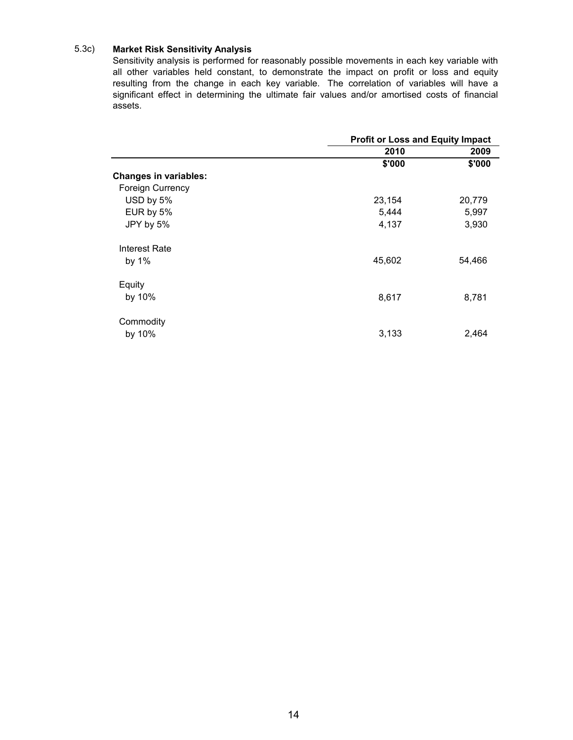#### 5.3c) **Market Risk Sensitivity Analysis**

Sensitivity analysis is performed for reasonably possible movements in each key variable with all other variables held constant, to demonstrate the impact on profit or loss and equity resulting from the change in each key variable. The correlation of variables will have a significant effect in determining the ultimate fair values and/or amortised costs of financial assets.

|                              | <b>Profit or Loss and Equity Impact</b> |        |  |  |
|------------------------------|-----------------------------------------|--------|--|--|
|                              | 2010                                    | 2009   |  |  |
|                              | \$'000                                  | \$'000 |  |  |
| <b>Changes in variables:</b> |                                         |        |  |  |
| <b>Foreign Currency</b>      |                                         |        |  |  |
| USD by 5%                    | 23,154                                  | 20,779 |  |  |
| EUR by 5%                    | 5,444                                   | 5,997  |  |  |
| JPY by 5%                    | 4,137                                   | 3,930  |  |  |
| Interest Rate                |                                         |        |  |  |
| by $1\%$                     | 45,602                                  | 54,466 |  |  |
| Equity                       |                                         |        |  |  |
| by 10%                       | 8,617                                   | 8,781  |  |  |
| Commodity                    |                                         |        |  |  |
| by 10%                       | 3,133                                   | 2,464  |  |  |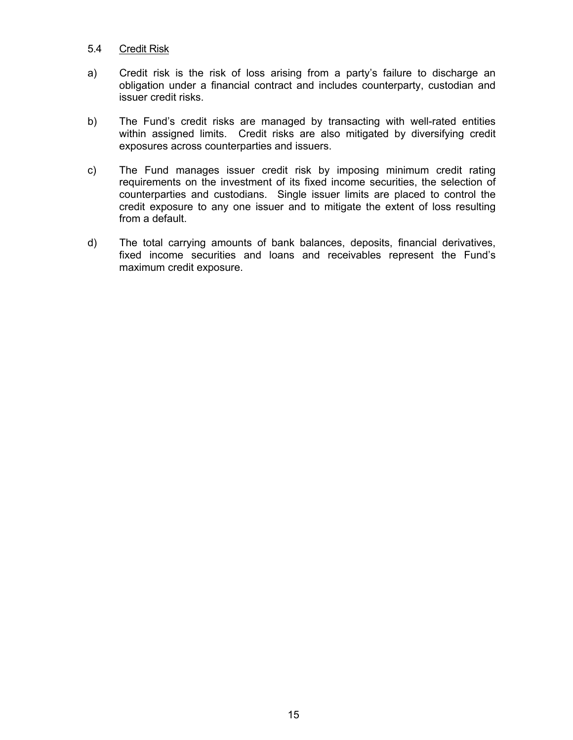#### 5.4 Credit Risk

- a) Credit risk is the risk of loss arising from a party's failure to discharge an obligation under a financial contract and includes counterparty, custodian and issuer credit risks.
- b) The Fund's credit risks are managed by transacting with well-rated entities within assigned limits. Credit risks are also mitigated by diversifying credit exposures across counterparties and issuers.
- c) The Fund manages issuer credit risk by imposing minimum credit rating requirements on the investment of its fixed income securities, the selection of counterparties and custodians. Single issuer limits are placed to control the credit exposure to any one issuer and to mitigate the extent of loss resulting from a default.
- d) The total carrying amounts of bank balances, deposits, financial derivatives, fixed income securities and loans and receivables represent the Fund's maximum credit exposure.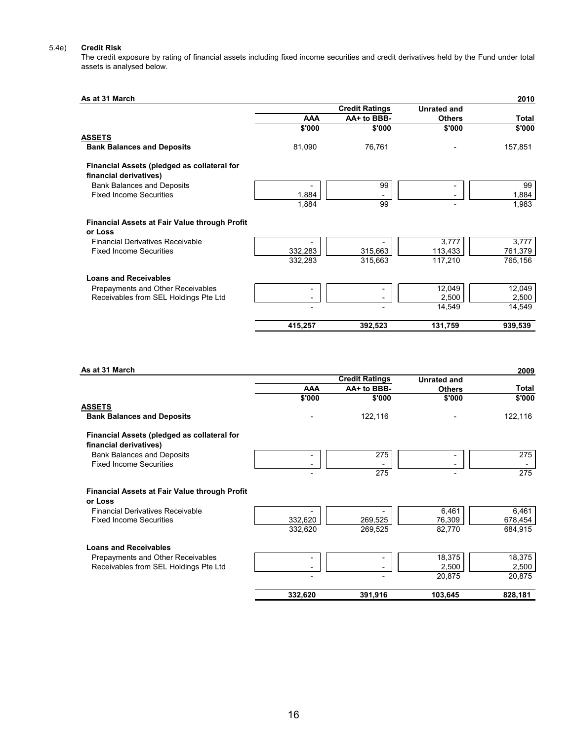#### 5.4e) **Credit Risk**

The credit exposure by rating of financial assets including fixed income securities and credit derivatives held by the Fund under total assets is analysed below.

| As at 31 March                                       |            |                       |                    | 2010    |
|------------------------------------------------------|------------|-----------------------|--------------------|---------|
|                                                      |            | <b>Credit Ratings</b> | <b>Unrated and</b> |         |
|                                                      | <b>AAA</b> | AA+ to BBB-           | <b>Others</b>      | Total   |
|                                                      | \$'000     | \$'000                | \$'000             | \$'000  |
| <b>ASSETS</b>                                        |            |                       |                    |         |
| <b>Bank Balances and Deposits</b>                    | 81,090     | 76,761                |                    | 157,851 |
| Financial Assets (pledged as collateral for          |            |                       |                    |         |
| financial derivatives)                               |            |                       |                    |         |
| <b>Bank Balances and Deposits</b>                    |            | 99                    |                    | 99      |
| <b>Fixed Income Securities</b>                       | 1,884      |                       |                    | 1,884   |
|                                                      | 1,884      | 99                    |                    | 1,983   |
| <b>Financial Assets at Fair Value through Profit</b> |            |                       |                    |         |
| or Loss                                              |            |                       |                    |         |
| <b>Financial Derivatives Receivable</b>              |            |                       | 3,777              | 3,777   |
| <b>Fixed Income Securities</b>                       | 332,283    | 315,663               | 113,433            | 761,379 |
|                                                      | 332,283    | 315,663               | 117,210            | 765,156 |
| <b>Loans and Receivables</b>                         |            |                       |                    |         |
| Prepayments and Other Receivables                    |            |                       | 12,049             | 12,049  |
| Receivables from SEL Holdings Pte Ltd                |            |                       | 2,500              | 2,500   |
|                                                      |            |                       | 14,549             | 14,549  |
|                                                      | 415,257    | 392,523               | 131,759            | 939,539 |

| As at 31 March                                                            |            |                       |                    | 2009             |
|---------------------------------------------------------------------------|------------|-----------------------|--------------------|------------------|
|                                                                           |            | <b>Credit Ratings</b> | <b>Unrated and</b> |                  |
|                                                                           | <b>AAA</b> | AA+ to BBB-           | <b>Others</b>      | <b>Total</b>     |
|                                                                           | \$'000     | \$'000                | \$'000             | \$'000           |
| <b>ASSETS</b>                                                             |            |                       |                    |                  |
| <b>Bank Balances and Deposits</b>                                         |            | 122,116               |                    | 122,116          |
| Financial Assets (pledged as collateral for<br>financial derivatives)     |            |                       |                    |                  |
| <b>Bank Balances and Deposits</b><br><b>Fixed Income Securities</b>       | -          | 275                   |                    | 275              |
|                                                                           |            | 275                   |                    | 275              |
| <b>Financial Assets at Fair Value through Profit</b><br>or Loss           |            |                       |                    |                  |
| <b>Financial Derivatives Receivable</b><br><b>Fixed Income Securities</b> | 332,620    | 269,525               | 6,461<br>76,309    | 6,461<br>678,454 |
|                                                                           | 332,620    | 269,525               | 82,770             | 684,915          |
| <b>Loans and Receivables</b>                                              |            |                       |                    |                  |
| Prepayments and Other Receivables                                         |            |                       | 18,375             | 18,375           |
| Receivables from SEL Holdings Pte Ltd                                     |            |                       | 2,500              | 2,500            |
|                                                                           |            |                       | 20,875             | 20,875           |
|                                                                           | 332,620    | 391,916               | 103,645            | 828,181          |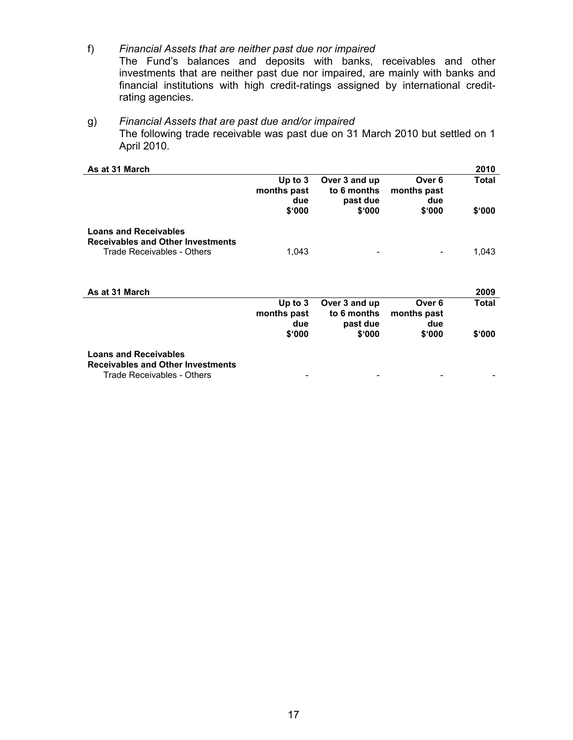- f) *Financial Assets that are neither past due nor impaired* The Fund's balances and deposits with banks, receivables and other investments that are neither past due nor impaired, are mainly with banks and financial institutions with high credit-ratings assigned by international creditrating agencies.
- g) *Financial Assets that are past due and/or impaired*  The following trade receivable was past due on 31 March 2010 but settled on 1 April 2010.

| As at 31 March                                                                                         |                                           |                                                    |                                        | 2010            |
|--------------------------------------------------------------------------------------------------------|-------------------------------------------|----------------------------------------------------|----------------------------------------|-----------------|
|                                                                                                        | Up to $3$<br>months past<br>due<br>\$'000 | Over 3 and up<br>to 6 months<br>past due<br>\$'000 | Over 6<br>months past<br>due<br>\$'000 | Total<br>\$'000 |
| <b>Loans and Receivables</b>                                                                           |                                           |                                                    |                                        |                 |
| <b>Receivables and Other Investments</b>                                                               |                                           |                                                    |                                        |                 |
| Trade Receivables - Others<br>As at 31 March                                                           | 1,043                                     |                                                    | $\overline{\phantom{a}}$               | 1,043<br>2009   |
|                                                                                                        | Up to $3$                                 | Over 3 and up                                      | Over 6                                 | <b>Total</b>    |
|                                                                                                        | months past                               | to 6 months                                        | months past                            |                 |
|                                                                                                        | due                                       | past due                                           | due                                    |                 |
|                                                                                                        | \$000                                     | \$'000                                             | \$'000                                 | \$000           |
| <b>Loans and Receivables</b><br><b>Receivables and Other Investments</b><br>Trade Receivables - Others |                                           |                                                    |                                        |                 |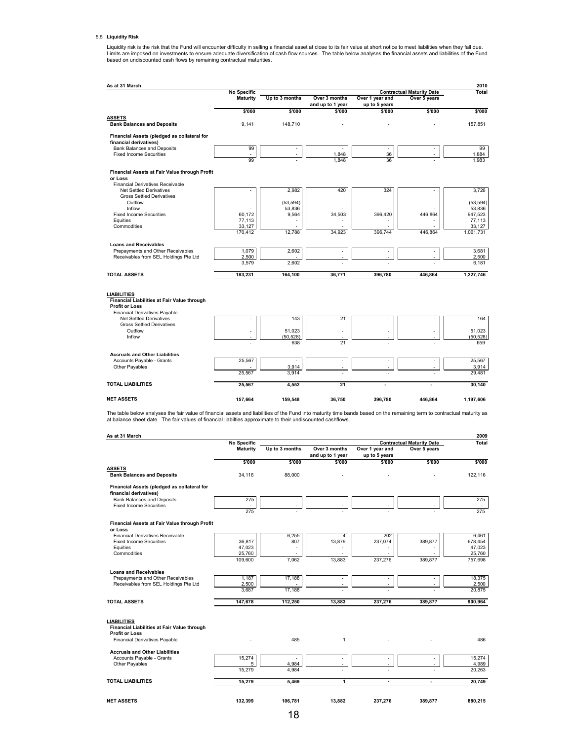#### 5.5 **Liquidity Risk**

Liquidity risk is the risk that the Fund will encounter difficulty in selling a financial asset at close to its fair value at short notice to meet liabilities when they fall due.<br>Limits are imposed on investments to ensure

|                                                                       | <b>No Specific</b> |                |                                   |                                  | <b>Contractual Maturity Date</b> | Total          |
|-----------------------------------------------------------------------|--------------------|----------------|-----------------------------------|----------------------------------|----------------------------------|----------------|
|                                                                       | <b>Maturity</b>    | Up to 3 months | Over 3 months<br>and up to 1 year | Over 1 year and<br>up to 5 years | Over 5 years                     |                |
|                                                                       | \$'000             | \$'000         | \$'000                            | \$'000                           | \$'000                           | \$'000         |
| <b>ASSETS</b>                                                         |                    |                |                                   |                                  |                                  |                |
| <b>Bank Balances and Deposits</b>                                     | 9,141              | 148,710        |                                   |                                  |                                  | 157,851        |
| Financial Assets (pledged as collateral for<br>financial derivatives) |                    |                |                                   |                                  |                                  |                |
| <b>Bank Balances and Deposits</b>                                     | 99                 |                |                                   | ÷,                               |                                  | 99             |
| <b>Fixed Income Securities</b>                                        | ä,<br>99           |                | 1,848<br>1.848                    | 36<br>36                         |                                  | 1,884<br>1.983 |
|                                                                       |                    |                |                                   |                                  |                                  |                |
| Financial Assets at Fair Value through Profit<br>or Loss              |                    |                |                                   |                                  |                                  |                |
| <b>Financial Derivatives Receivable</b>                               |                    |                |                                   |                                  |                                  |                |
| <b>Net Settled Derivatives</b>                                        | ä,                 | 2,982          | 420                               | 324                              |                                  | 3,726          |
| <b>Gross Settled Derivatives</b>                                      |                    |                |                                   |                                  |                                  |                |
| Outflow                                                               | ä,                 | (53, 594)      | ÷                                 |                                  |                                  | (53, 594)      |
| Inflow                                                                |                    | 53,836         |                                   |                                  |                                  | 53,836         |
| <b>Fixed Income Securities</b>                                        | 60,172             | 9,564          | 34,503                            | 396,420                          | 446,864                          | 947,523        |
| Equities                                                              | 77,113             |                |                                   |                                  |                                  | 77,113         |
| Commodities                                                           | 33,127             |                |                                   |                                  |                                  | 33,127         |
|                                                                       | 170,412            | 12,788         | 34.923                            | 396.744                          | 446.864                          | 1,061,731      |
| <b>Loans and Receivables</b>                                          |                    |                |                                   |                                  |                                  |                |
| Prepayments and Other Receivables                                     | 1,079              | 2,602          | ÷                                 |                                  |                                  | 3,681          |
| Receivables from SEL Holdings Pte Ltd                                 | 2,500              |                | ÷,                                |                                  |                                  | 2,500          |
|                                                                       | 3.579              | 2,602          |                                   |                                  |                                  | 6,181          |
| <b>TOTAL ASSETS</b>                                                   | 183,231            | 164,100        | 36,771                            | 396,780                          | 446.864                          | 1,227,746      |
|                                                                       |                    |                |                                   |                                  |                                  |                |
| <b>LIABILITIES</b><br>Financial Liabilities at Fair Value through     |                    |                |                                   |                                  |                                  |                |
| <b>Profit or Loss</b>                                                 |                    |                |                                   |                                  |                                  |                |
| <b>Financial Derivatives Payable</b>                                  |                    |                |                                   |                                  |                                  |                |
| <b>Net Settled Derivatives</b>                                        | ÷                  | 143            | 21                                |                                  |                                  | 164            |
| <b>Gross Settled Derivatives</b>                                      |                    |                |                                   |                                  |                                  |                |
| Outflow                                                               | ٠                  | 51.023         | $\overline{a}$                    |                                  |                                  | 51.023         |
| Inflow                                                                | ä,                 | (50, 528)      |                                   |                                  |                                  | (50, 528)      |
|                                                                       |                    | 638            | 21                                |                                  |                                  | 659            |
| <b>Accruals and Other Liabilities</b>                                 |                    |                |                                   |                                  |                                  |                |
| Accounts Payable - Grants                                             | 25,567             |                | $\overline{a}$                    |                                  |                                  | 25,567         |
| Other Payables                                                        |                    | 3,914          | ÷                                 |                                  |                                  | 3,914          |
|                                                                       | 25.567             | 3.914          |                                   |                                  |                                  | 29.481         |
| <b>TOTAL LIABILITIES</b>                                              | 25,567             | 4,552          | 21                                | ٠                                | $\overline{\phantom{a}}$         | 30,140         |
| <b>NET ASSETS</b>                                                     | 157,664            | 159,548        | 36,750                            | 396,780                          | 446,864                          | 1,197,606      |

The table below analyses the fair value of financial assets and liabilities of the Fund into maturity time bands based on the remaining term to contractual maturity as<br>at balance sheet date. The fair values of financial l

|                                                                                                                                    | <b>No Specific</b>    |                |                                            |                                  | <b>Contractual Maturity Date</b> | <b>Total</b>      |
|------------------------------------------------------------------------------------------------------------------------------------|-----------------------|----------------|--------------------------------------------|----------------------------------|----------------------------------|-------------------|
|                                                                                                                                    | Maturity              | Up to 3 months | Over 3 months<br>and up to 1 year          | Over 1 year and<br>up to 5 years | Over 5 years                     |                   |
|                                                                                                                                    | \$'000                | \$'000         | \$'000                                     | \$'000                           | \$'000                           | \$'000            |
| <b>ASSETS</b><br><b>Bank Balances and Deposits</b>                                                                                 | 34,116                | 88,000         |                                            |                                  |                                  | 122.116           |
| Financial Assets (pledged as collateral for<br>financial derivatives)                                                              |                       |                |                                            |                                  |                                  |                   |
| <b>Bank Balances and Deposits</b><br><b>Fixed Income Securities</b>                                                                | 275<br>$\overline{a}$ |                | $\overline{\phantom{a}}$<br>÷,             |                                  | $\overline{a}$                   | 275               |
|                                                                                                                                    | 275                   |                |                                            |                                  |                                  | $\sim$<br>275     |
| Financial Assets at Fair Value through Profit<br>or Loss                                                                           |                       |                |                                            |                                  |                                  |                   |
| <b>Financial Derivatives Receivable</b>                                                                                            |                       | 6,255          | $\overline{4}$                             | 202                              |                                  | 6.461             |
| <b>Fixed Income Securities</b><br>Equities                                                                                         | 36,817<br>47,023      | 807            | 13,879                                     | 237,074                          | 389,877                          | 678.454<br>47,023 |
| Commodities                                                                                                                        | 25,760                |                |                                            |                                  |                                  | 25,760            |
|                                                                                                                                    | 109.600               | 7.062          | 13,883                                     | 237,276                          | 389,877                          | 757,698           |
| <b>Loans and Receivables</b>                                                                                                       |                       |                |                                            |                                  |                                  |                   |
| Prepayments and Other Receivables<br>Receivables from SEL Holdings Pte Ltd                                                         | 1,187<br>2,500        | 17,188         | $\overline{\phantom{a}}$<br>٠              | ÷<br>÷                           |                                  | 18,375<br>2,500   |
|                                                                                                                                    | 3.687                 | 17.188         |                                            |                                  |                                  | 20.875            |
| <b>TOTAL ASSETS</b>                                                                                                                | 147,678               | 112.250        | 13,883                                     | 237,276                          | 389,877                          | 900,964           |
| <b>LIABILITIES</b><br>Financial Liabilities at Fair Value through<br><b>Profit or Loss</b><br><b>Financial Derivatives Payable</b> |                       | 485            | $\mathbf{1}$                               |                                  |                                  | 486               |
| <b>Accruals and Other Liabilities</b>                                                                                              |                       |                |                                            |                                  |                                  |                   |
| Accounts Payable - Grants<br>Other Payables                                                                                        | 15.274<br>5           | 4,984          | $\overline{\phantom{a}}$<br>$\overline{a}$ | ÷                                | ٠                                | 15.274<br>4,989   |
|                                                                                                                                    | 15,279                | 4.984          |                                            |                                  |                                  | 20,263            |
| <b>TOTAL LIABILITIES</b>                                                                                                           | 15.279                | 5.469          | 1                                          | $\sim$                           | $\overline{a}$                   | 20.749            |
| <b>NET ASSETS</b>                                                                                                                  | 132,399               | 106.781        | 13.882                                     | 237,276                          | 389.877                          | 880,215           |
|                                                                                                                                    |                       | 18             |                                            |                                  |                                  |                   |
|                                                                                                                                    |                       |                |                                            |                                  |                                  |                   |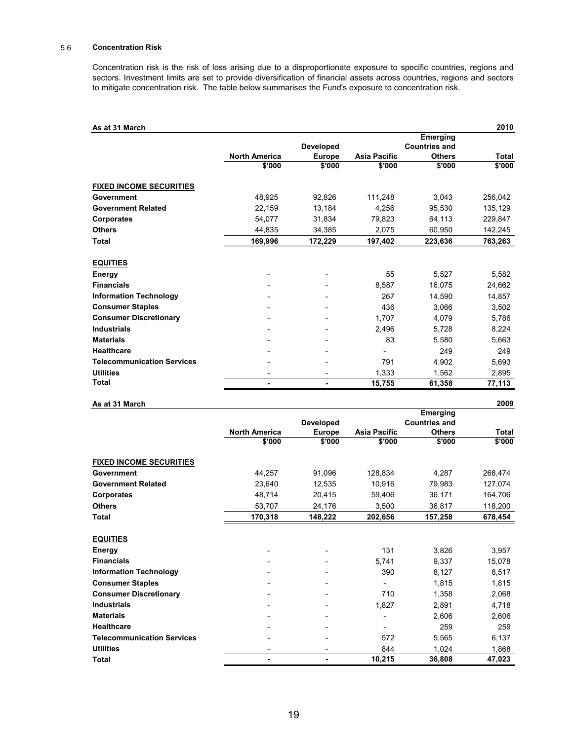#### 5.6 **Concentration Risk**

Concentration risk is the risk of loss arising due to a disproportionate exposure to specific countries, regions and sectors. Investment limits are set to provide diversification of financial assets across countries, regions and sectors to mitigate concentration risk. The table below summarises the Fund's exposure to concentration risk.

| As at 31 March                    |                      |                  |                     |                      | 2010         |
|-----------------------------------|----------------------|------------------|---------------------|----------------------|--------------|
|                                   |                      |                  |                     | Emerging             |              |
|                                   |                      | <b>Developed</b> |                     | <b>Countries and</b> |              |
|                                   | <b>North America</b> | <b>Europe</b>    | <b>Asia Pacific</b> | <b>Others</b>        | <b>Total</b> |
|                                   | \$'000               | \$'000           | \$'000              | \$'000               | \$'000       |
| <b>FIXED INCOME SECURITIES</b>    |                      |                  |                     |                      |              |
| Government                        | 48.925               | 92,826           | 111,248             | 3,043                | 256,042      |
| <b>Government Related</b>         | 22,159               | 13,184           | 4.256               | 95,530               | 135,129      |
| <b>Corporates</b>                 | 54,077               | 31,834           | 79,823              | 64,113               | 229,847      |
| <b>Others</b>                     | 44,835               | 34,385           | 2,075               | 60,950               | 142,245      |
| <b>Total</b>                      | 169,996              | 172,229          | 197,402             | 223,636              | 763,263      |
| <b>EQUITIES</b>                   |                      |                  |                     |                      |              |
| Energy                            |                      |                  | 55                  | 5,527                | 5,582        |
| <b>Financials</b>                 |                      |                  | 8,587               | 16,075               | 24,662       |
| <b>Information Technology</b>     |                      |                  | 267                 | 14.590               | 14.857       |
| <b>Consumer Staples</b>           |                      |                  | 436                 | 3.066                | 3,502        |
| <b>Consumer Discretionary</b>     |                      |                  | 1.707               | 4.079                | 5.786        |
| <b>Industrials</b>                |                      |                  | 2,496               | 5,728                | 8,224        |
| <b>Materials</b>                  |                      |                  | 83                  | 5.580                | 5.663        |
| <b>Healthcare</b>                 |                      |                  |                     | 249                  | 249          |
| <b>Telecommunication Services</b> |                      |                  | 791                 | 4,902                | 5,693        |
| <b>Utilities</b>                  |                      |                  | 1,333               | 1,562                | 2,895        |
| <b>Total</b>                      | ۰                    | $\blacksquare$   | 15,755              | 61,358               | 77,113       |

| As at 31 March                    |                      |                  |                     |                      | 2009         |
|-----------------------------------|----------------------|------------------|---------------------|----------------------|--------------|
|                                   |                      |                  |                     | Emerging             |              |
|                                   |                      | <b>Developed</b> |                     | <b>Countries and</b> |              |
|                                   | <b>North America</b> | <b>Europe</b>    | <b>Asia Pacific</b> | <b>Others</b>        | <b>Total</b> |
|                                   | \$'000               | \$'000           | \$'000              | \$'000               | \$'000       |
| <b>FIXED INCOME SECURITIES</b>    |                      |                  |                     |                      |              |
| <b>Government</b>                 | 44,257               | 91,096           | 128,834             | 4,287                | 268,474      |
| <b>Government Related</b>         | 23,640               | 12,535           | 10,916              | 79,983               | 127,074      |
| Corporates                        | 48,714               | 20,415           | 59,406              | 36,171               | 164,706      |
| <b>Others</b>                     | 53,707               | 24,176           | 3,500               | 36,817               | 118,200      |
| Total                             | 170,318              | 148,222          | 202,656             | 157,258              | 678,454      |
|                                   |                      |                  |                     |                      |              |
| <b>EQUITIES</b>                   |                      |                  |                     |                      |              |
| Energy                            |                      |                  | 131                 | 3,826                | 3,957        |
| <b>Financials</b>                 |                      |                  | 5,741               | 9,337                | 15,078       |
| <b>Information Technology</b>     |                      |                  | 390                 | 8,127                | 8,517        |
| <b>Consumer Staples</b>           |                      |                  |                     | 1,815                | 1,815        |
| <b>Consumer Discretionary</b>     |                      |                  | 710                 | 1,358                | 2,068        |
| <b>Industrials</b>                |                      |                  | 1,827               | 2,891                | 4,718        |
| <b>Materials</b>                  |                      |                  |                     | 2,606                | 2,606        |
| <b>Healthcare</b>                 |                      |                  |                     | 259                  | 259          |
| <b>Telecommunication Services</b> |                      |                  | 572                 | 5,565                | 6,137        |
| <b>Utilities</b>                  |                      |                  | 844                 | 1,024                | 1,868        |

**Total - - 10,215 36,808 47,023**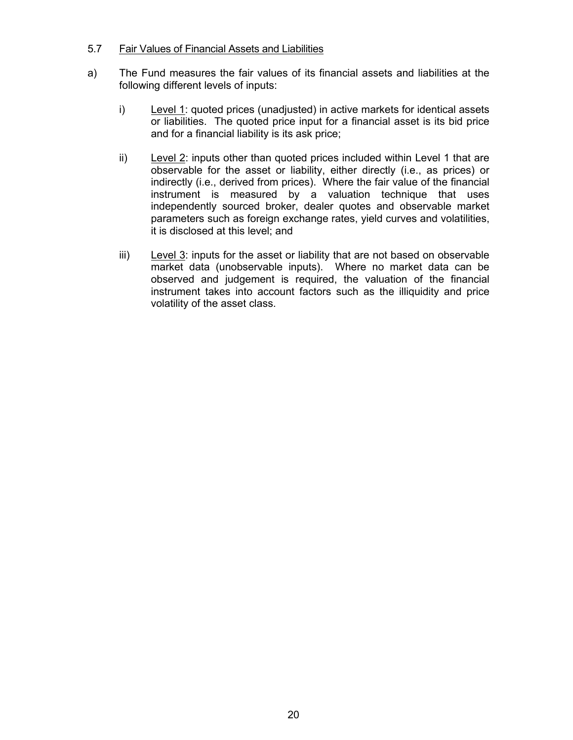### 5.7 Fair Values of Financial Assets and Liabilities

- a) The Fund measures the fair values of its financial assets and liabilities at the following different levels of inputs:
	- i) Level 1: quoted prices (unadjusted) in active markets for identical assets or liabilities. The quoted price input for a financial asset is its bid price and for a financial liability is its ask price;
	- ii) Level 2: inputs other than quoted prices included within Level 1 that are observable for the asset or liability, either directly (i.e., as prices) or indirectly (i.e., derived from prices). Where the fair value of the financial instrument is measured by a valuation technique that uses independently sourced broker, dealer quotes and observable market parameters such as foreign exchange rates, yield curves and volatilities, it is disclosed at this level; and
	- iii) Level  $3$ : inputs for the asset or liability that are not based on observable market data (unobservable inputs). Where no market data can be observed and judgement is required, the valuation of the financial instrument takes into account factors such as the illiquidity and price volatility of the asset class.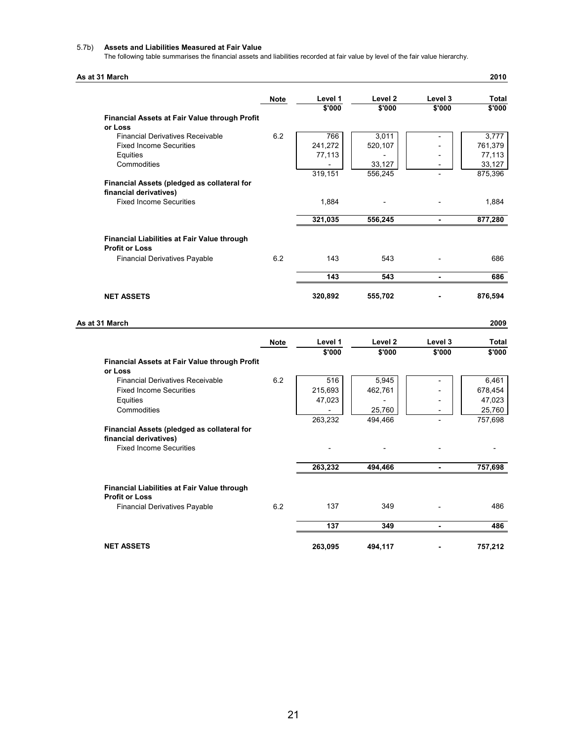#### 5.7b) **Assets and Liabilities Measured at Fair Value**

The following table summarises the financial assets and liabilities recorded at fair value by level of the fair value hierarchy.

#### **As at 31 March 2010**

|                                                                 | <b>Note</b> | Level 1 | Level 2 | Level 3                  | <b>Total</b> |
|-----------------------------------------------------------------|-------------|---------|---------|--------------------------|--------------|
|                                                                 |             | \$'000  | \$'000  | \$'000                   | \$'000       |
| <b>Financial Assets at Fair Value through Profit</b><br>or Loss |             |         |         |                          |              |
| <b>Financial Derivatives Receivable</b>                         | 6.2         | 766     | 3,011   |                          | 3,777        |
| <b>Fixed Income Securities</b>                                  |             | 241,272 | 520,107 |                          | 761,379      |
| Equities                                                        |             | 77,113  |         |                          | 77,113       |
| Commodities                                                     |             |         | 33,127  |                          | 33,127       |
|                                                                 |             | 319,151 | 556,245 |                          | 875,396      |
| Financial Assets (pledged as collateral for                     |             |         |         |                          |              |
| financial derivatives)                                          |             |         |         |                          |              |
| <b>Fixed Income Securities</b>                                  |             | 1,884   |         |                          | 1,884        |
|                                                                 |             | 321,035 | 556,245 |                          | 877,280      |
| <b>Financial Liabilities at Fair Value through</b>              |             |         |         |                          |              |
| <b>Profit or Loss</b>                                           |             |         |         |                          |              |
| <b>Financial Derivatives Payable</b>                            | 6.2         | 143     | 543     |                          | 686          |
|                                                                 |             | 143     | 543     | $\blacksquare$           | 686          |
|                                                                 |             |         |         |                          |              |
| <b>NET ASSETS</b>                                               |             | 320,892 | 555,702 |                          | 876,594      |
| As at 31 March                                                  |             |         |         |                          | 2009         |
|                                                                 |             |         |         |                          |              |
|                                                                 | <b>Note</b> | Level 1 | Level 2 | Level 3                  | Total        |
| <b>Financial Assets at Fair Value through Profit</b>            |             | \$'000  | \$'000  | \$'000                   | \$'000       |
| or Loss                                                         |             |         |         |                          |              |
| <b>Financial Derivatives Receivable</b>                         | 6.2         | 516     | 5,945   |                          | 6,461        |
| <b>Fixed Income Securities</b>                                  |             | 215,693 | 462,761 |                          | 678,454      |
| Equities                                                        |             | 47,023  |         |                          | 47,023       |
| Commodities                                                     |             |         | 25,760  |                          | 25,760       |
|                                                                 |             | 263,232 | 494,466 |                          | 757,698      |
| Financial Assets (pledged as collateral for                     |             |         |         |                          |              |
| financial derivatives)                                          |             |         |         |                          |              |
| <b>Fixed Income Securities</b>                                  |             |         |         |                          |              |
|                                                                 |             | 263,232 | 494,466 | $\overline{\phantom{a}}$ | 757,698      |
| <b>Financial Liabilities at Fair Value through</b>              |             |         |         |                          |              |
| <b>Profit or Loss</b>                                           |             |         |         |                          |              |
| <b>Financial Derivatives Payable</b>                            | 6.2         | 137     | 349     |                          | 486          |
|                                                                 |             | 137     | 349     | $\blacksquare$           | 486          |
| <b>NET ASSETS</b>                                               |             | 263,095 | 494,117 |                          | 757,212      |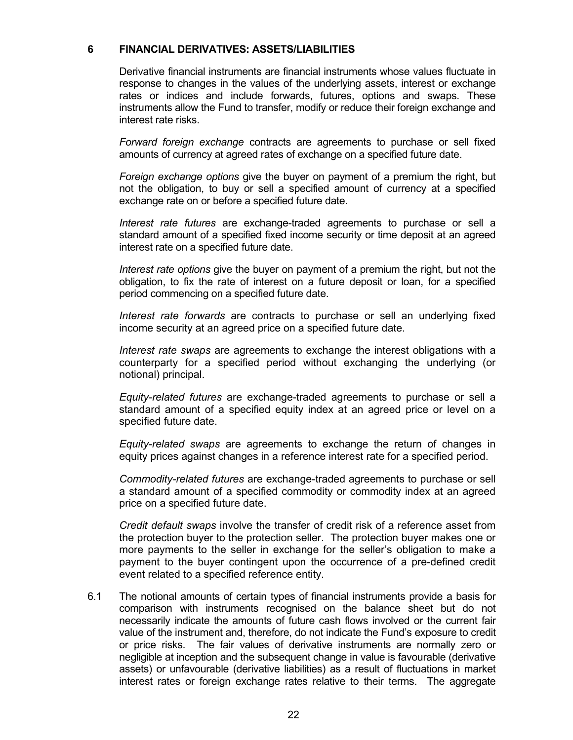#### **6 FINANCIAL DERIVATIVES: ASSETS/LIABILITIES**

Derivative financial instruments are financial instruments whose values fluctuate in response to changes in the values of the underlying assets, interest or exchange rates or indices and include forwards, futures, options and swaps. These instruments allow the Fund to transfer, modify or reduce their foreign exchange and interest rate risks.

*Forward foreign exchange* contracts are agreements to purchase or sell fixed amounts of currency at agreed rates of exchange on a specified future date.

*Foreign exchange options* give the buyer on payment of a premium the right, but not the obligation, to buy or sell a specified amount of currency at a specified exchange rate on or before a specified future date.

*Interest rate futures* are exchange-traded agreements to purchase or sell a standard amount of a specified fixed income security or time deposit at an agreed interest rate on a specified future date.

*Interest rate options* give the buyer on payment of a premium the right, but not the obligation, to fix the rate of interest on a future deposit or loan, for a specified period commencing on a specified future date.

*Interest rate forwards* are contracts to purchase or sell an underlying fixed income security at an agreed price on a specified future date.

 *Interest rate swaps* are agreements to exchange the interest obligations with a counterparty for a specified period without exchanging the underlying (or notional) principal.

*Equity-related futures* are exchange-traded agreements to purchase or sell a standard amount of a specified equity index at an agreed price or level on a specified future date.

*Equity-related swaps* are agreements to exchange the return of changes in equity prices against changes in a reference interest rate for a specified period.

*Commodity-related futures* are exchange-traded agreements to purchase or sell a standard amount of a specified commodity or commodity index at an agreed price on a specified future date.

*Credit default swaps* involve the transfer of credit risk of a reference asset from the protection buyer to the protection seller. The protection buyer makes one or more payments to the seller in exchange for the seller's obligation to make a payment to the buyer contingent upon the occurrence of a pre-defined credit event related to a specified reference entity.

6.1 The notional amounts of certain types of financial instruments provide a basis for comparison with instruments recognised on the balance sheet but do not necessarily indicate the amounts of future cash flows involved or the current fair value of the instrument and, therefore, do not indicate the Fund's exposure to credit or price risks. The fair values of derivative instruments are normally zero or negligible at inception and the subsequent change in value is favourable (derivative assets) or unfavourable (derivative liabilities) as a result of fluctuations in market interest rates or foreign exchange rates relative to their terms. The aggregate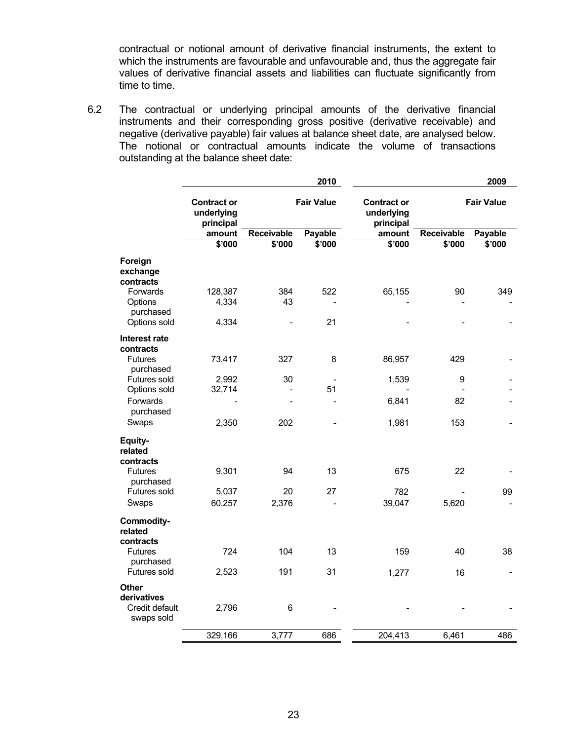contractual or notional amount of derivative financial instruments, the extent to which the instruments are favourable and unfavourable and, thus the aggregate fair values of derivative financial assets and liabilities can fluctuate significantly from time to time.

6.2 The contractual or underlying principal amounts of the derivative financial instruments and their corresponding gross positive (derivative receivable) and negative (derivative payable) fair values at balance sheet date, are analysed below. The notional or contractual amounts indicate the volume of transactions outstanding at the balance sheet date:

|                                                             | 2010                                          |            |                   | 2009    |                   |         |
|-------------------------------------------------------------|-----------------------------------------------|------------|-------------------|---------|-------------------|---------|
|                                                             | <b>Contract or</b><br>underlying<br>principal |            | <b>Fair Value</b> |         | <b>Fair Value</b> |         |
|                                                             | amount                                        | Receivable | Payable           | amount  | Receivable        | Payable |
|                                                             | \$'000                                        | \$'000     | \$'000            | \$'000  | \$'000            | \$'000  |
| Foreign<br>exchange<br>contracts<br>Forwards                | 128,387                                       | 384        | 522               | 65,155  | 90                | 349     |
| Options<br>purchased                                        | 4,334                                         | 43         |                   |         |                   |         |
| Options sold                                                | 4,334                                         |            | 21                |         |                   |         |
| Interest rate<br>contracts                                  |                                               |            |                   |         |                   |         |
| <b>Futures</b><br>purchased                                 | 73,417                                        | 327        | 8                 | 86,957  | 429               |         |
| Futures sold                                                | 2,992                                         | 30         |                   | 1,539   | 9                 |         |
| Options sold                                                | 32,714                                        |            | 51                |         |                   |         |
| Forwards<br>purchased                                       |                                               |            |                   | 6,841   | 82                |         |
| Swaps                                                       | 2,350                                         | 202        |                   | 1,981   | 153               |         |
| Equity-<br>related<br>contracts                             |                                               |            |                   |         |                   |         |
| <b>Futures</b><br>purchased                                 | 9,301                                         | 94         | 13                | 675     | 22                |         |
| Futures sold                                                | 5,037                                         | 20         | 27                | 782     |                   | 99      |
| Swaps                                                       | 60,257                                        | 2,376      |                   | 39,047  | 5,620             |         |
| <b>Commodity-</b><br>related<br>contracts                   |                                               |            |                   |         |                   |         |
| <b>Futures</b><br>purchased                                 | 724                                           | 104        | 13                | 159     | 40                | 38      |
| Futures sold                                                | 2,523                                         | 191        | 31                | 1,277   | 16                |         |
| <b>Other</b><br>derivatives<br>Credit default<br>swaps sold | 2,796                                         | 6          |                   |         |                   |         |
|                                                             | 329,166                                       | 3,777      | 686               | 204,413 | 6,461             | 486     |
|                                                             |                                               |            |                   |         |                   |         |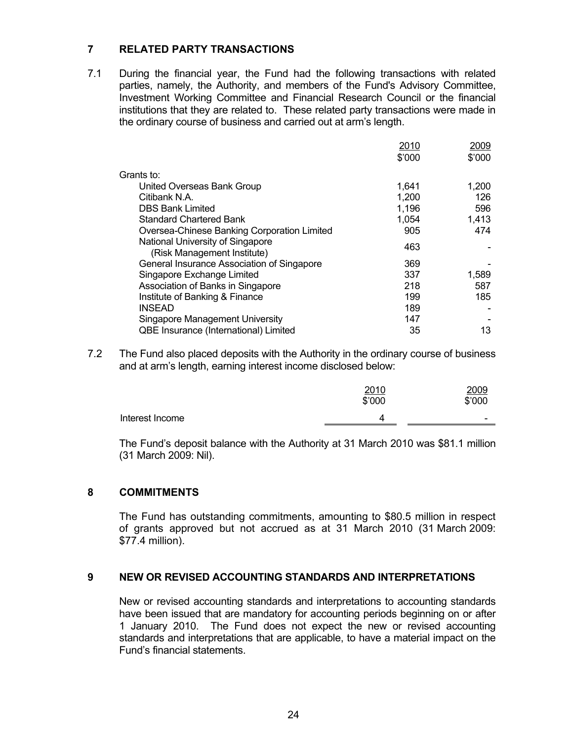### **7 RELATED PARTY TRANSACTIONS**

7.1 During the financial year, the Fund had the following transactions with related parties, namely, the Authority, and members of the Fund's Advisory Committee, Investment Working Committee and Financial Research Council or the financial institutions that they are related to. These related party transactions were made in the ordinary course of business and carried out at arm's length.

|                                                                 | 2010   | 2009   |
|-----------------------------------------------------------------|--------|--------|
|                                                                 | \$'000 | \$'000 |
| Grants to:                                                      |        |        |
| United Overseas Bank Group                                      | 1,641  | 1,200  |
| Citibank N.A.                                                   | 1,200  | 126    |
| <b>DBS Bank Limited</b>                                         | 1,196  | 596    |
| <b>Standard Chartered Bank</b>                                  | 1,054  | 1,413  |
| Oversea-Chinese Banking Corporation Limited                     | 905    | 474    |
| National University of Singapore<br>(Risk Management Institute) | 463    |        |
| General Insurance Association of Singapore                      | 369    |        |
| Singapore Exchange Limited                                      | 337    | 1,589  |
| Association of Banks in Singapore                               | 218    | 587    |
| Institute of Banking & Finance                                  | 199    | 185    |
| <b>INSEAD</b>                                                   | 189    |        |
| Singapore Management University                                 | 147    |        |
| QBE Insurance (International) Limited                           | 35     | 13     |
|                                                                 |        |        |

7.2 The Fund also placed deposits with the Authority in the ordinary course of business and at arm's length, earning interest income disclosed below:

|                 | 2010<br>\$'000 | 2009<br>\$'000           |
|-----------------|----------------|--------------------------|
| Interest Income |                | $\overline{\phantom{0}}$ |
|                 |                |                          |

 The Fund's deposit balance with the Authority at 31 March 2010 was \$81.1 million (31 March 2009: Nil).

### **8 COMMITMENTS**

 The Fund has outstanding commitments, amounting to \$80.5 million in respect of grants approved but not accrued as at 31 March 2010 (31 March 2009: \$77.4 million).

#### **9 NEW OR REVISED ACCOUNTING STANDARDS AND INTERPRETATIONS**

New or revised accounting standards and interpretations to accounting standards have been issued that are mandatory for accounting periods beginning on or after 1 January 2010. The Fund does not expect the new or revised accounting standards and interpretations that are applicable, to have a material impact on the Fund's financial statements.